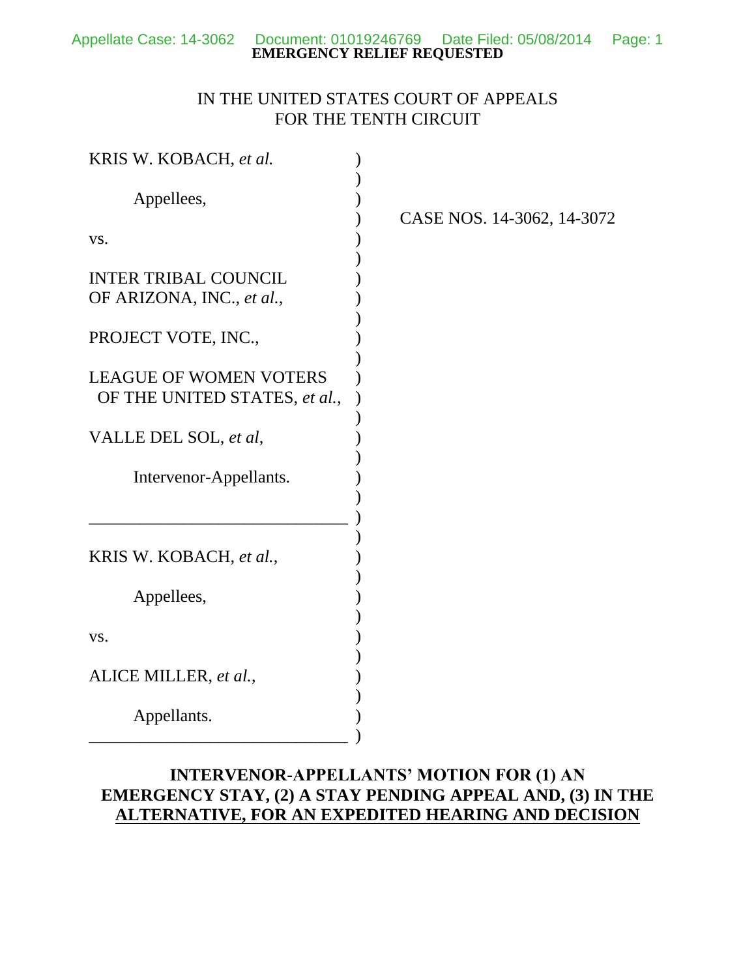## IN THE UNITED STATES COURT OF APPEALS FOR THE TENTH CIRCUIT

| KRIS W. KOBACH, et al.                                         |                            |
|----------------------------------------------------------------|----------------------------|
| Appellees,                                                     | CASE NOS. 14-3062, 14-3072 |
| VS.                                                            |                            |
| <b>INTER TRIBAL COUNCIL</b><br>OF ARIZONA, INC., et al.,       |                            |
| PROJECT VOTE, INC.,                                            |                            |
| <b>LEAGUE OF WOMEN VOTERS</b><br>OF THE UNITED STATES, et al., |                            |
| VALLE DEL SOL, et al,                                          |                            |
| Intervenor-Appellants.                                         |                            |
|                                                                |                            |
| KRIS W. KOBACH, et al.,                                        |                            |
| Appellees,                                                     |                            |
| VS.                                                            |                            |
| ALICE MILLER, et al.,                                          |                            |
| Appellants.                                                    |                            |

# **INTERVENOR-APPELLANTS' MOTION FOR (1) AN EMERGENCY STAY, (2) A STAY PENDING APPEAL AND, (3) IN THE ALTERNATIVE, FOR AN EXPEDITED HEARING AND DECISION**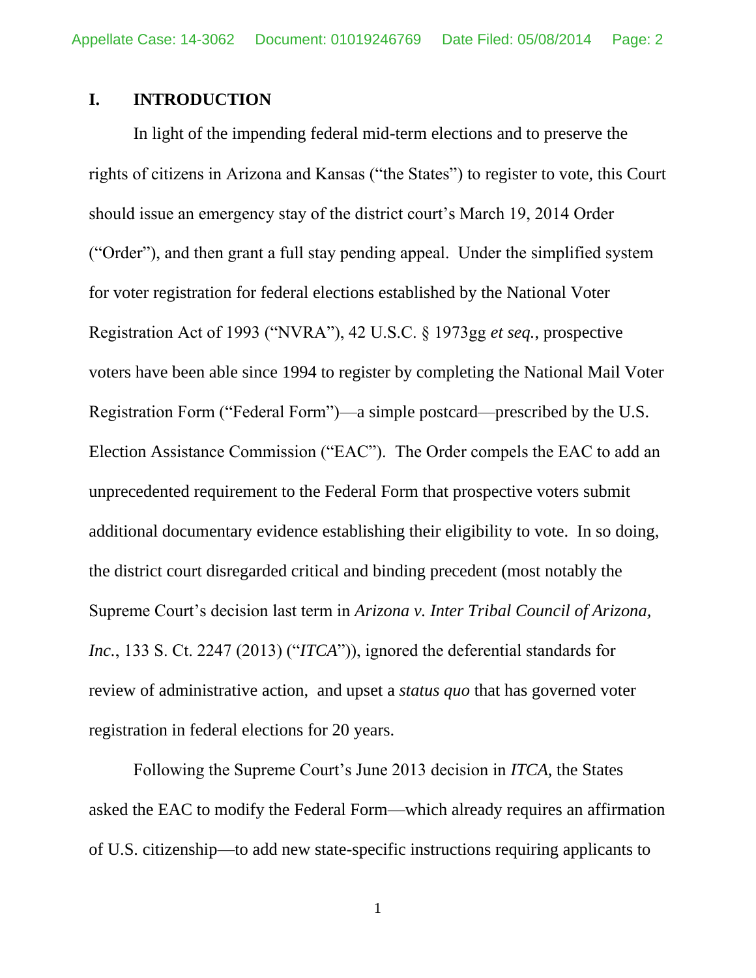### **I. INTRODUCTION**

In light of the impending federal mid-term elections and to preserve the rights of citizens in Arizona and Kansas ("the States") to register to vote, this Court should issue an emergency stay of the district court's March 19, 2014 Order ("Order"), and then grant a full stay pending appeal. Under the simplified system for voter registration for federal elections established by the National Voter Registration Act of 1993 ("NVRA"), 42 U.S.C. § 1973gg *et seq.*, prospective voters have been able since 1994 to register by completing the National Mail Voter Registration Form ("Federal Form")—a simple postcard—prescribed by the U.S. Election Assistance Commission ("EAC"). The Order compels the EAC to add an unprecedented requirement to the Federal Form that prospective voters submit additional documentary evidence establishing their eligibility to vote. In so doing, the district court disregarded critical and binding precedent (most notably the Supreme Court's decision last term in *Arizona v. Inter Tribal Council of Arizona, Inc.*, 133 S. Ct. 2247 (2013) ("*ITCA*")), ignored the deferential standards for review of administrative action, and upset a *status quo* that has governed voter registration in federal elections for 20 years.

Following the Supreme Court's June 2013 decision in *ITCA*, the States asked the EAC to modify the Federal Form—which already requires an affirmation of U.S. citizenship—to add new state-specific instructions requiring applicants to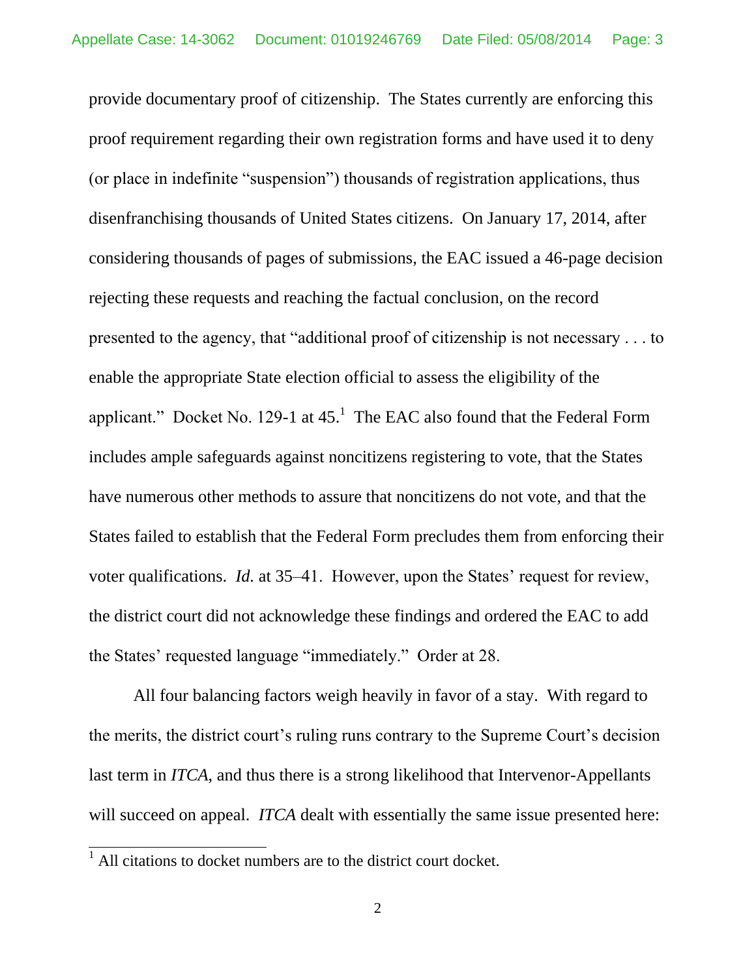provide documentary proof of citizenship. The States currently are enforcing this proof requirement regarding their own registration forms and have used it to deny (or place in indefinite "suspension") thousands of registration applications, thus disenfranchising thousands of United States citizens. On January 17, 2014, after considering thousands of pages of submissions, the EAC issued a 46-page decision rejecting these requests and reaching the factual conclusion, on the record presented to the agency, that "additional proof of citizenship is not necessary . . . to enable the appropriate State election official to assess the eligibility of the applicant." Docket No. 129-1 at  $45$ . The EAC also found that the Federal Form includes ample safeguards against noncitizens registering to vote, that the States have numerous other methods to assure that noncitizens do not vote, and that the States failed to establish that the Federal Form precludes them from enforcing their voter qualifications. *Id.* at 35–41. However, upon the States' request for review, the district court did not acknowledge these findings and ordered the EAC to add the States' requested language "immediately." Order at 28.

All four balancing factors weigh heavily in favor of a stay. With regard to the merits, the district court's ruling runs contrary to the Supreme Court's decision last term in *ITCA*, and thus there is a strong likelihood that Intervenor-Appellants will succeed on appeal. *ITCA* dealt with essentially the same issue presented here:

 $<sup>1</sup>$  All citations to docket numbers are to the district court docket.</sup>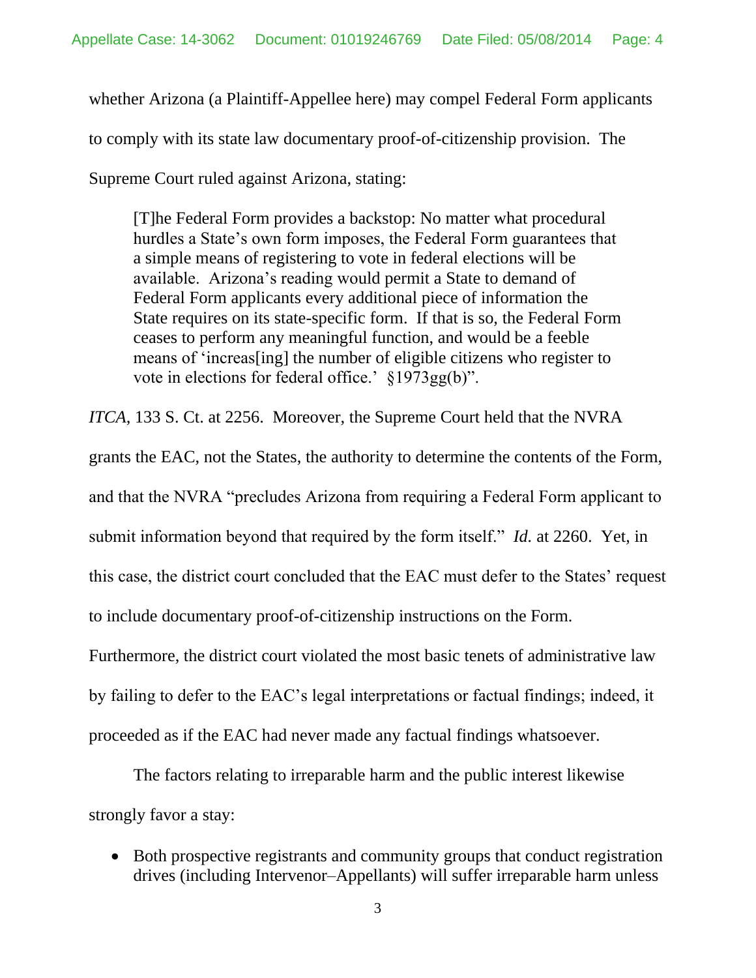whether Arizona (a Plaintiff-Appellee here) may compel Federal Form applicants to comply with its state law documentary proof-of-citizenship provision. The Supreme Court ruled against Arizona, stating:

[T]he Federal Form provides a backstop: No matter what procedural hurdles a State's own form imposes, the Federal Form guarantees that a simple means of registering to vote in federal elections will be available. Arizona's reading would permit a State to demand of Federal Form applicants every additional piece of information the State requires on its state-specific form. If that is so, the Federal Form ceases to perform any meaningful function, and would be a feeble means of 'increas[ing] the number of eligible citizens who register to vote in elections for federal office.' §1973gg(b)".

*ITCA*, 133 S. Ct. at 2256. Moreover, the Supreme Court held that the NVRA

grants the EAC, not the States, the authority to determine the contents of the Form,

and that the NVRA "precludes Arizona from requiring a Federal Form applicant to

submit information beyond that required by the form itself." *Id.* at 2260. Yet, in

this case, the district court concluded that the EAC must defer to the States' request

to include documentary proof-of-citizenship instructions on the Form.

Furthermore, the district court violated the most basic tenets of administrative law

by failing to defer to the EAC's legal interpretations or factual findings; indeed, it

proceeded as if the EAC had never made any factual findings whatsoever.

The factors relating to irreparable harm and the public interest likewise strongly favor a stay:

• Both prospective registrants and community groups that conduct registration drives (including Intervenor–Appellants) will suffer irreparable harm unless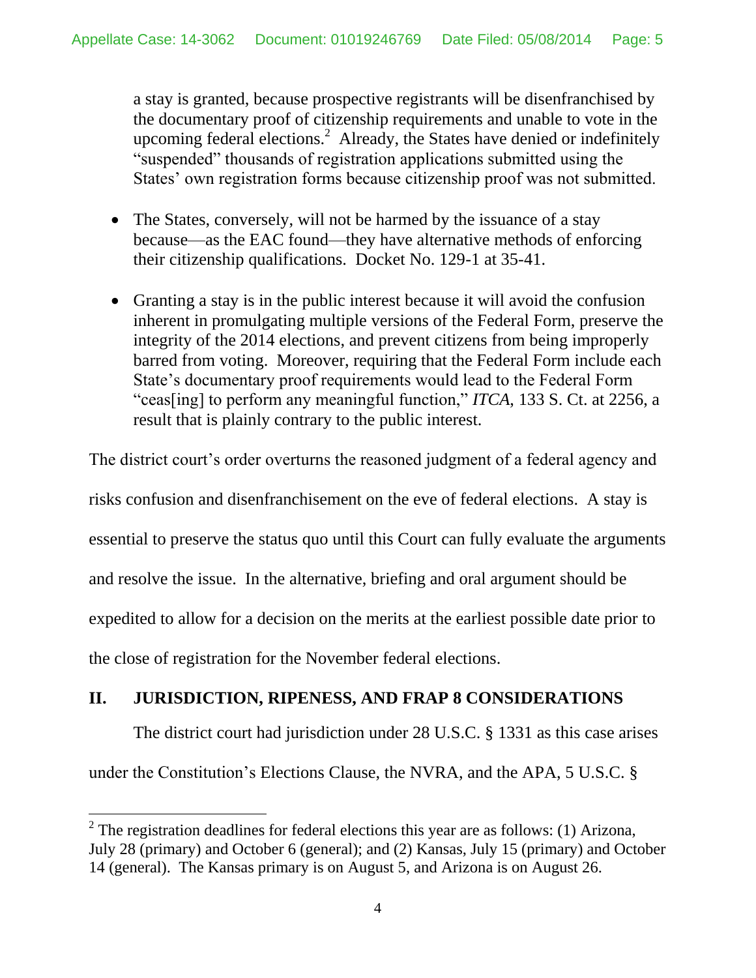a stay is granted, because prospective registrants will be disenfranchised by the documentary proof of citizenship requirements and unable to vote in the upcoming federal elections.<sup>2</sup> Already, the States have denied or indefinitely "suspended" thousands of registration applications submitted using the States' own registration forms because citizenship proof was not submitted.

- The States, conversely, will not be harmed by the issuance of a stay because—as the EAC found—they have alternative methods of enforcing their citizenship qualifications. Docket No. 129-1 at 35-41.
- Granting a stay is in the public interest because it will avoid the confusion inherent in promulgating multiple versions of the Federal Form, preserve the integrity of the 2014 elections, and prevent citizens from being improperly barred from voting. Moreover, requiring that the Federal Form include each State's documentary proof requirements would lead to the Federal Form "ceas[ing] to perform any meaningful function," *ITCA*, 133 S. Ct. at 2256, a result that is plainly contrary to the public interest.

The district court's order overturns the reasoned judgment of a federal agency and risks confusion and disenfranchisement on the eve of federal elections. A stay is essential to preserve the status quo until this Court can fully evaluate the arguments and resolve the issue. In the alternative, briefing and oral argument should be expedited to allow for a decision on the merits at the earliest possible date prior to the close of registration for the November federal elections.

# **II. JURISDICTION, RIPENESS, AND FRAP 8 CONSIDERATIONS**

The district court had jurisdiction under 28 U.S.C. § 1331 as this case arises

under the Constitution's Elections Clause, the NVRA, and the APA, 5 U.S.C. §

<sup>&</sup>lt;sup>2</sup> The registration deadlines for federal elections this year are as follows: (1) Arizona, July 28 (primary) and October 6 (general); and (2) Kansas, July 15 (primary) and October 14 (general). The Kansas primary is on August 5, and Arizona is on August 26.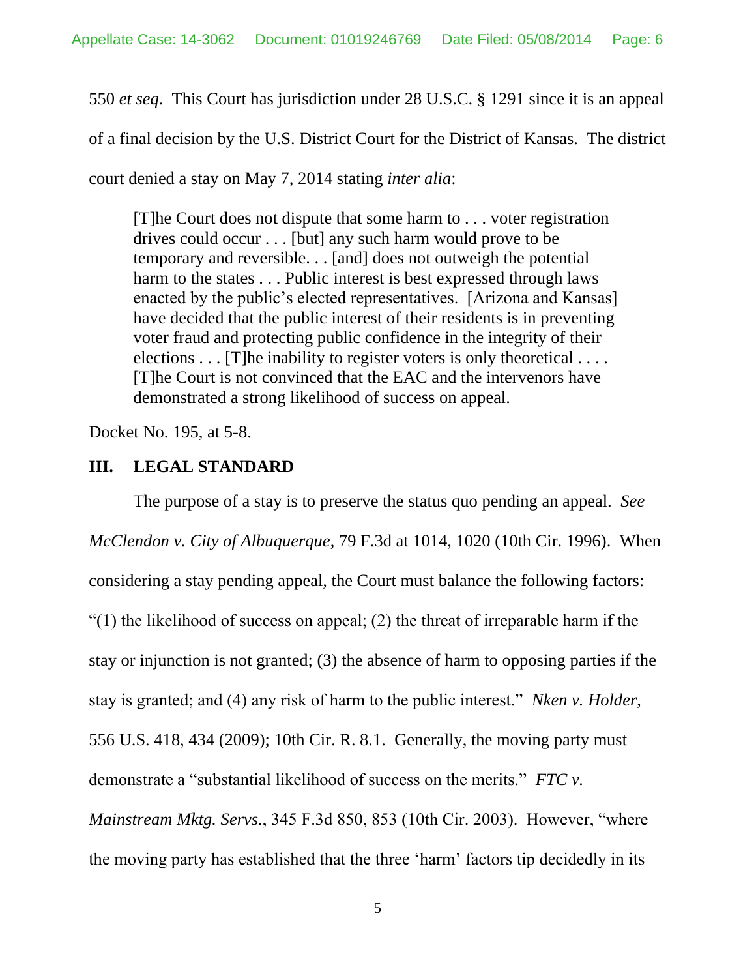550 *et seq*. This Court has jurisdiction under 28 U.S.C. § 1291 since it is an appeal

of a final decision by the U.S. District Court for the District of Kansas. The district

court denied a stay on May 7, 2014 stating *inter alia*:

[T]he Court does not dispute that some harm to . . . voter registration drives could occur . . . [but] any such harm would prove to be temporary and reversible. . . [and] does not outweigh the potential harm to the states . . . Public interest is best expressed through laws enacted by the public's elected representatives. [Arizona and Kansas] have decided that the public interest of their residents is in preventing voter fraud and protecting public confidence in the integrity of their elections  $\dots$  [T] he inability to register voters is only theoretical  $\dots$ [T]he Court is not convinced that the EAC and the intervenors have demonstrated a strong likelihood of success on appeal.

Docket No. 195, at 5-8.

### **III. LEGAL STANDARD**

The purpose of a stay is to preserve the status quo pending an appeal. *See McClendon v. City of Albuquerque*, 79 F.3d at 1014, 1020 (10th Cir. 1996). When considering a stay pending appeal, the Court must balance the following factors: " $(1)$  the likelihood of success on appeal;  $(2)$  the threat of irreparable harm if the stay or injunction is not granted; (3) the absence of harm to opposing parties if the stay is granted; and (4) any risk of harm to the public interest." *Nken v. Holder*, 556 U.S. 418, 434 (2009); 10th Cir. R. 8.1. Generally, the moving party must demonstrate a "substantial likelihood of success on the merits." *FTC v. Mainstream Mktg. Servs.*, 345 F.3d 850, 853 (10th Cir. 2003). However, "where the moving party has established that the three 'harm' factors tip decidedly in its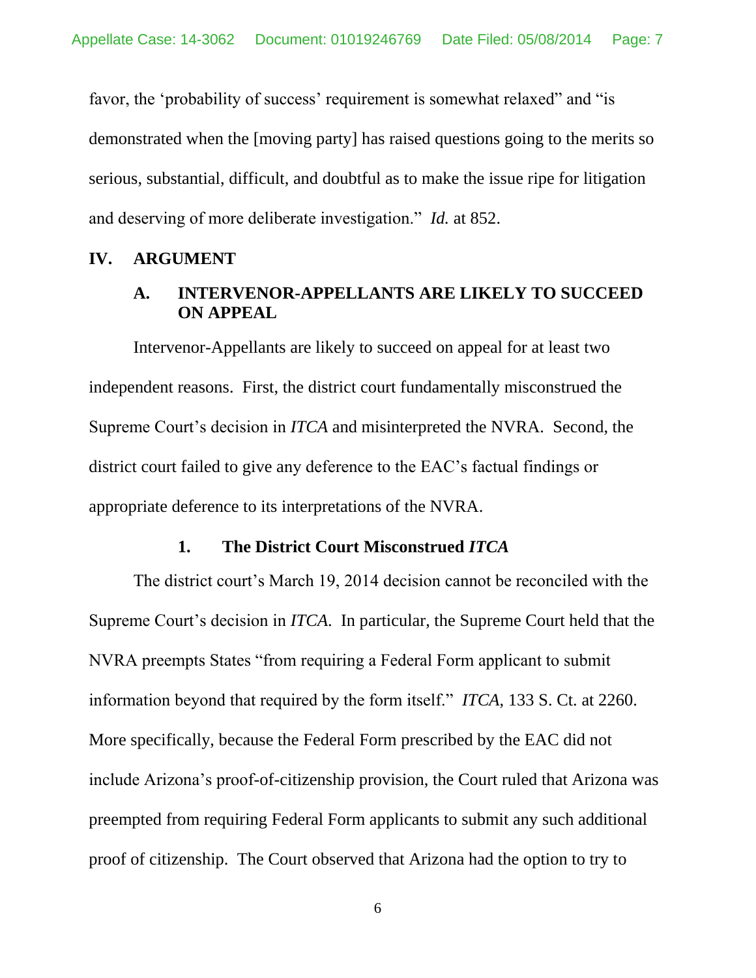favor, the 'probability of success' requirement is somewhat relaxed" and "is demonstrated when the [moving party] has raised questions going to the merits so serious, substantial, difficult, and doubtful as to make the issue ripe for litigation and deserving of more deliberate investigation." *Id.* at 852.

#### **IV. ARGUMENT**

## **A. INTERVENOR-APPELLANTS ARE LIKELY TO SUCCEED ON APPEAL**

Intervenor-Appellants are likely to succeed on appeal for at least two independent reasons. First, the district court fundamentally misconstrued the Supreme Court's decision in *ITCA* and misinterpreted the NVRA. Second, the district court failed to give any deference to the EAC's factual findings or appropriate deference to its interpretations of the NVRA.

### **1. The District Court Misconstrued** *ITCA*

The district court's March 19, 2014 decision cannot be reconciled with the Supreme Court's decision in *ITCA*. In particular, the Supreme Court held that the NVRA preempts States "from requiring a Federal Form applicant to submit information beyond that required by the form itself." *ITCA*, 133 S. Ct. at 2260. More specifically, because the Federal Form prescribed by the EAC did not include Arizona's proof-of-citizenship provision, the Court ruled that Arizona was preempted from requiring Federal Form applicants to submit any such additional proof of citizenship. The Court observed that Arizona had the option to try to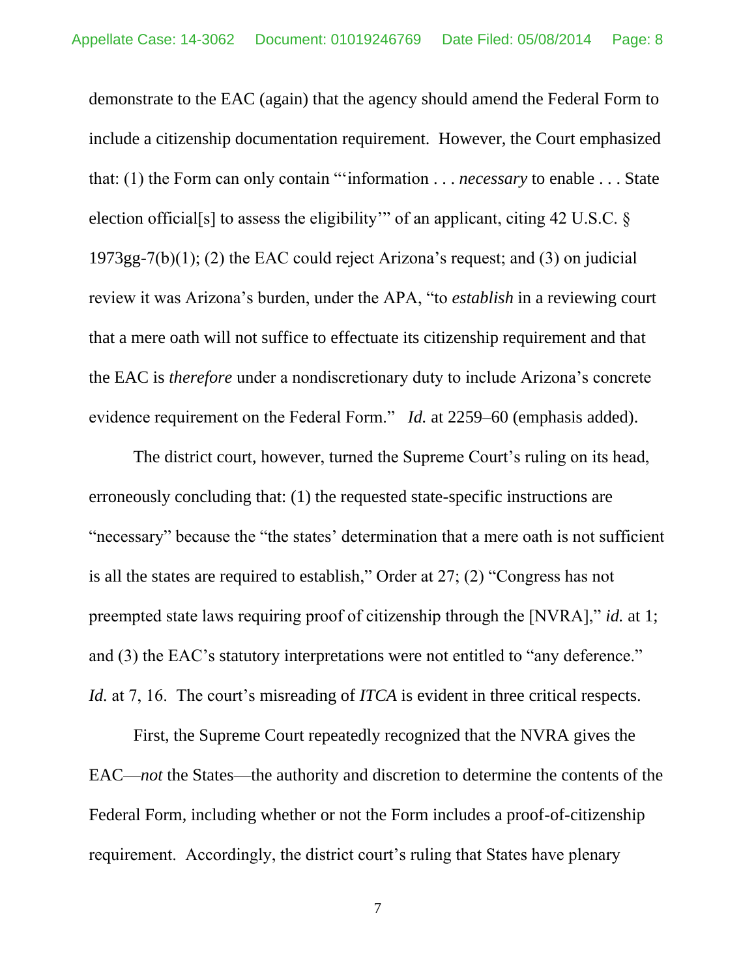demonstrate to the EAC (again) that the agency should amend the Federal Form to include a citizenship documentation requirement. However, the Court emphasized that: (1) the Form can only contain "'information . . . *necessary* to enable . . . State election official[s] to assess the eligibility'" of an applicant, citing 42 U.S.C. § 1973gg-7(b)(1); (2) the EAC could reject Arizona's request; and (3) on judicial review it was Arizona's burden, under the APA, "to *establish* in a reviewing court that a mere oath will not suffice to effectuate its citizenship requirement and that the EAC is *therefore* under a nondiscretionary duty to include Arizona's concrete evidence requirement on the Federal Form." *Id.* at 2259–60 (emphasis added).

The district court, however, turned the Supreme Court's ruling on its head, erroneously concluding that: (1) the requested state-specific instructions are "necessary" because the "the states' determination that a mere oath is not sufficient is all the states are required to establish," Order at 27; (2) "Congress has not preempted state laws requiring proof of citizenship through the [NVRA]," *id.* at 1; and (3) the EAC's statutory interpretations were not entitled to "any deference." *Id.* at 7, 16. The court's misreading of *ITCA* is evident in three critical respects.

First, the Supreme Court repeatedly recognized that the NVRA gives the EAC—*not* the States—the authority and discretion to determine the contents of the Federal Form, including whether or not the Form includes a proof-of-citizenship requirement. Accordingly, the district court's ruling that States have plenary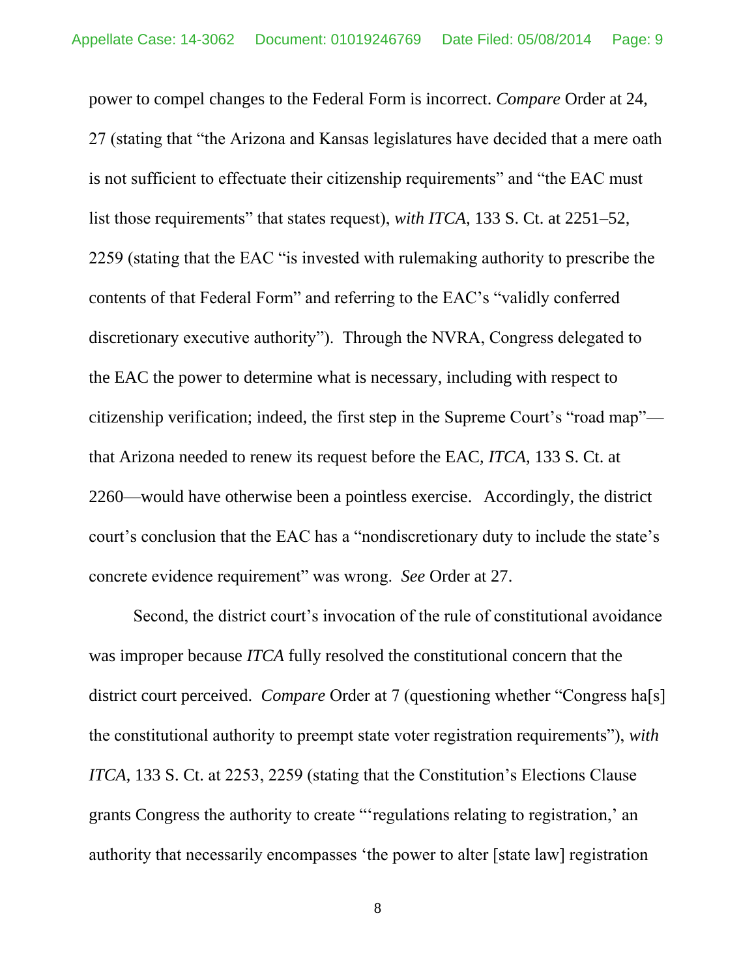power to compel changes to the Federal Form is incorrect. *Compare* Order at 24, 27 (stating that "the Arizona and Kansas legislatures have decided that a mere oath is not sufficient to effectuate their citizenship requirements" and "the EAC must list those requirements" that states request), *with ITCA*, 133 S. Ct. at 2251–52, 2259 (stating that the EAC "is invested with rulemaking authority to prescribe the contents of that Federal Form" and referring to the EAC's "validly conferred discretionary executive authority"). Through the NVRA, Congress delegated to the EAC the power to determine what is necessary, including with respect to citizenship verification; indeed, the first step in the Supreme Court's "road map" that Arizona needed to renew its request before the EAC, *ITCA*, 133 S. Ct. at 2260—would have otherwise been a pointless exercise. Accordingly, the district court's conclusion that the EAC has a "nondiscretionary duty to include the state's concrete evidence requirement" was wrong. *See* Order at 27.

Second, the district court's invocation of the rule of constitutional avoidance was improper because *ITCA* fully resolved the constitutional concern that the district court perceived. *Compare* Order at 7 (questioning whether "Congress ha<sup>[s]</sup> the constitutional authority to preempt state voter registration requirements"), *with ITCA*, 133 S. Ct. at 2253, 2259 (stating that the Constitution's Elections Clause grants Congress the authority to create "'regulations relating to registration,' an authority that necessarily encompasses 'the power to alter [state law] registration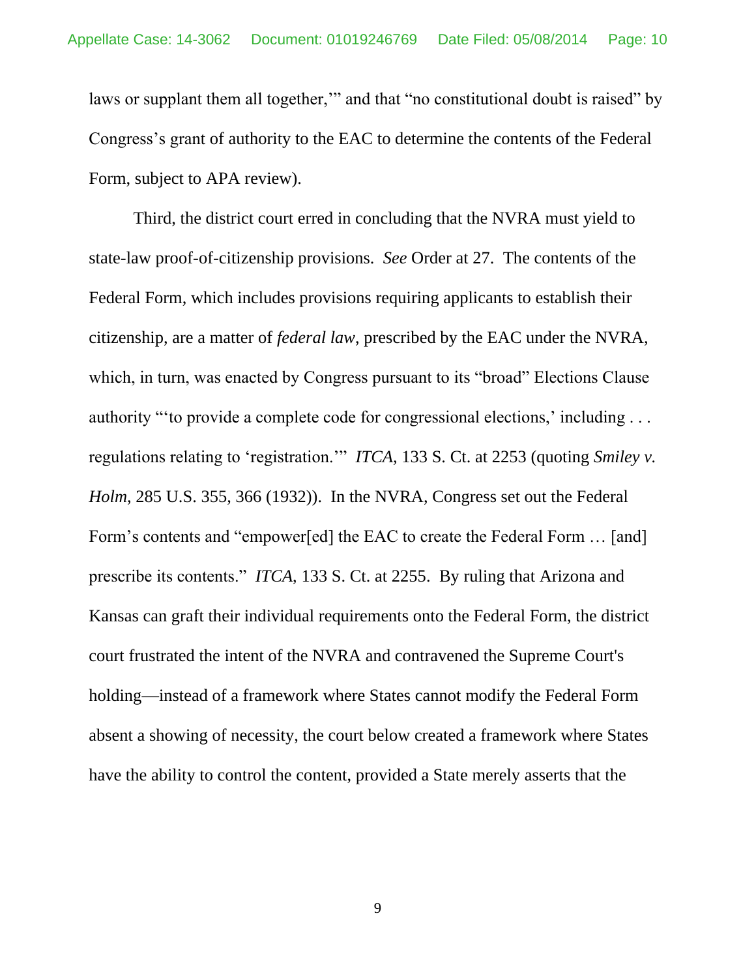laws or supplant them all together," and that "no constitutional doubt is raised" by Congress's grant of authority to the EAC to determine the contents of the Federal Form, subject to APA review).

Third, the district court erred in concluding that the NVRA must yield to state-law proof-of-citizenship provisions. *See* Order at 27. The contents of the Federal Form, which includes provisions requiring applicants to establish their citizenship, are a matter of *federal law*, prescribed by the EAC under the NVRA, which, in turn, was enacted by Congress pursuant to its "broad" Elections Clause authority "'to provide a complete code for congressional elections,' including . . . regulations relating to 'registration.'" *ITCA*, 133 S. Ct. at 2253 (quoting *Smiley v. Holm*, 285 U.S. 355, 366 (1932)). In the NVRA, Congress set out the Federal Form's contents and "empower[ed] the EAC to create the Federal Form … [and] prescribe its contents." *ITCA*, 133 S. Ct. at 2255. By ruling that Arizona and Kansas can graft their individual requirements onto the Federal Form, the district court frustrated the intent of the NVRA and contravened the Supreme Court's holding—instead of a framework where States cannot modify the Federal Form absent a showing of necessity, the court below created a framework where States have the ability to control the content, provided a State merely asserts that the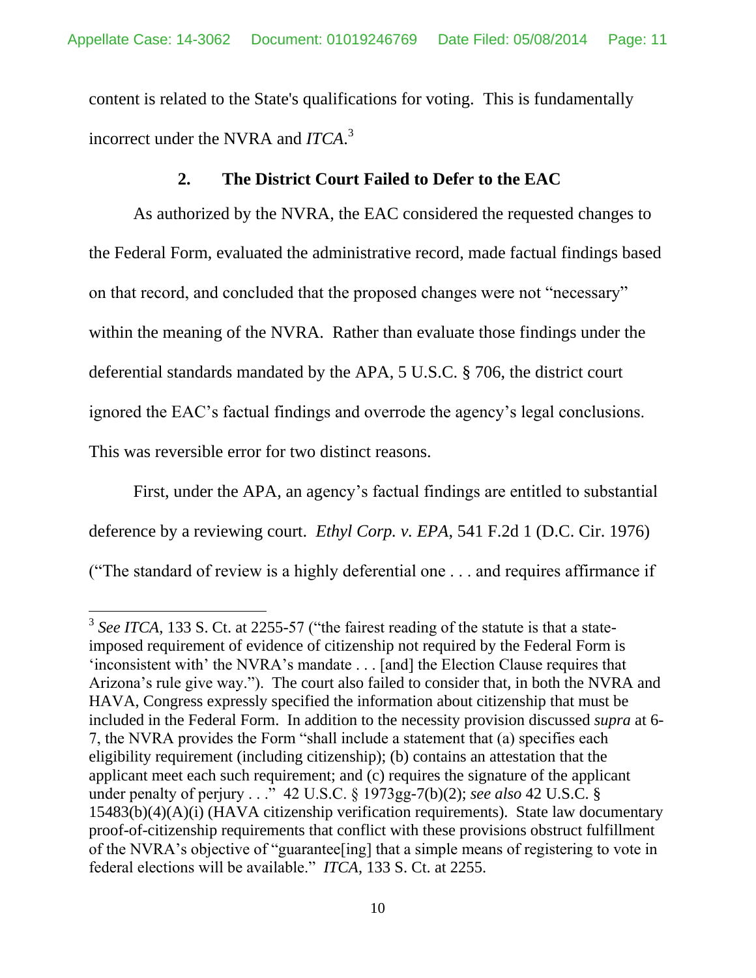content is related to the State's qualifications for voting. This is fundamentally incorrect under the NVRA and *ITCA*. 3

## **2. The District Court Failed to Defer to the EAC**

As authorized by the NVRA, the EAC considered the requested changes to the Federal Form, evaluated the administrative record, made factual findings based on that record, and concluded that the proposed changes were not "necessary" within the meaning of the NVRA. Rather than evaluate those findings under the deferential standards mandated by the APA, 5 U.S.C. § 706, the district court ignored the EAC's factual findings and overrode the agency's legal conclusions. This was reversible error for two distinct reasons.

First, under the APA, an agency's factual findings are entitled to substantial deference by a reviewing court. *Ethyl Corp. v. EPA*, 541 F.2d 1 (D.C. Cir. 1976) ("The standard of review is a highly deferential one . . . and requires affirmance if

<sup>&</sup>lt;sup>3</sup> See ITCA, 133 S. Ct. at 2255-57 ("the fairest reading of the statute is that a stateimposed requirement of evidence of citizenship not required by the Federal Form is 'inconsistent with' the NVRA's mandate . . . [and] the Election Clause requires that Arizona's rule give way."). The court also failed to consider that, in both the NVRA and HAVA, Congress expressly specified the information about citizenship that must be included in the Federal Form. In addition to the necessity provision discussed *supra* at 6- 7, the NVRA provides the Form "shall include a statement that (a) specifies each eligibility requirement (including citizenship); (b) contains an attestation that the applicant meet each such requirement; and (c) requires the signature of the applicant under penalty of perjury . . ." 42 U.S.C. § 1973gg-7(b)(2); *see also* 42 U.S.C. § 15483(b)(4)(A)(i) (HAVA citizenship verification requirements). State law documentary proof-of-citizenship requirements that conflict with these provisions obstruct fulfillment of the NVRA's objective of "guarantee[ing] that a simple means of registering to vote in federal elections will be available." *ITCA*, 133 S. Ct. at 2255.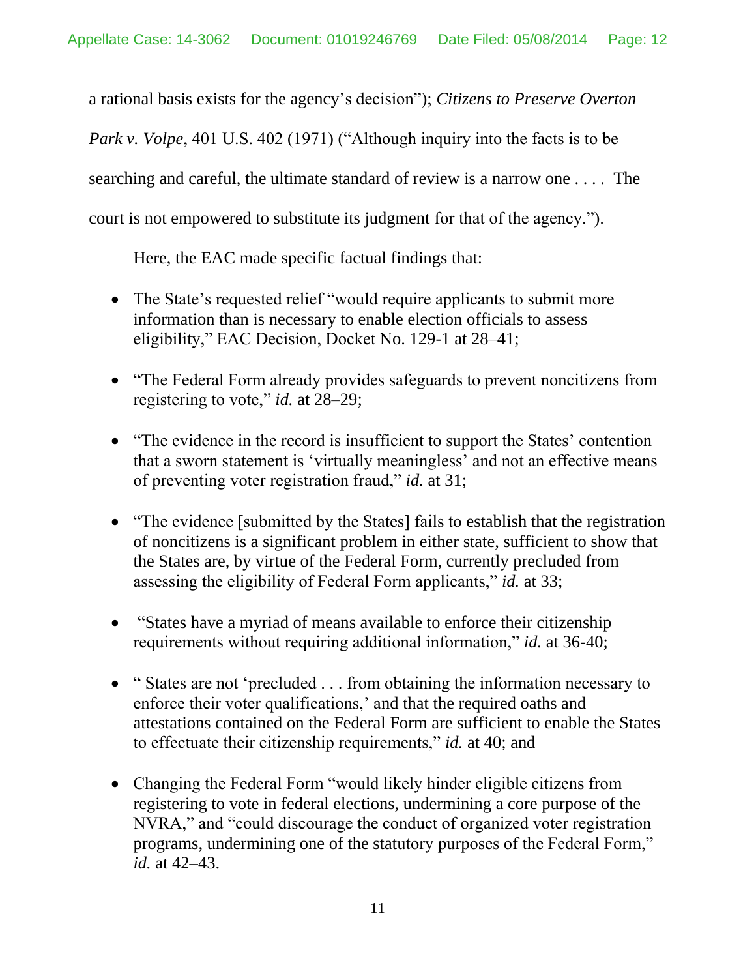a rational basis exists for the agency's decision"); *Citizens to Preserve Overton* 

*Park v. Volpe*, 401 U.S. 402 (1971) ("Although inquiry into the facts is to be

searching and careful, the ultimate standard of review is a narrow one . . . . The

court is not empowered to substitute its judgment for that of the agency.").

Here, the EAC made specific factual findings that:

- The State's requested relief "would require applicants to submit more information than is necessary to enable election officials to assess eligibility," EAC Decision, Docket No. 129-1 at 28–41;
- "The Federal Form already provides safeguards to prevent noncitizens from registering to vote," *id.* at 28–29;
- "The evidence in the record is insufficient to support the States' contention that a sworn statement is 'virtually meaningless' and not an effective means of preventing voter registration fraud," *id.* at 31;
- "The evidence [submitted by the States] fails to establish that the registration of noncitizens is a significant problem in either state, sufficient to show that the States are, by virtue of the Federal Form, currently precluded from assessing the eligibility of Federal Form applicants," *id.* at 33;
- "States have a myriad of means available to enforce their citizenship requirements without requiring additional information," *id.* at 36-40;
- "States are not 'precluded . . . from obtaining the information necessary to enforce their voter qualifications,' and that the required oaths and attestations contained on the Federal Form are sufficient to enable the States to effectuate their citizenship requirements," *id.* at 40; and
- Changing the Federal Form "would likely hinder eligible citizens from registering to vote in federal elections, undermining a core purpose of the NVRA," and "could discourage the conduct of organized voter registration programs, undermining one of the statutory purposes of the Federal Form," *id.* at 42–43.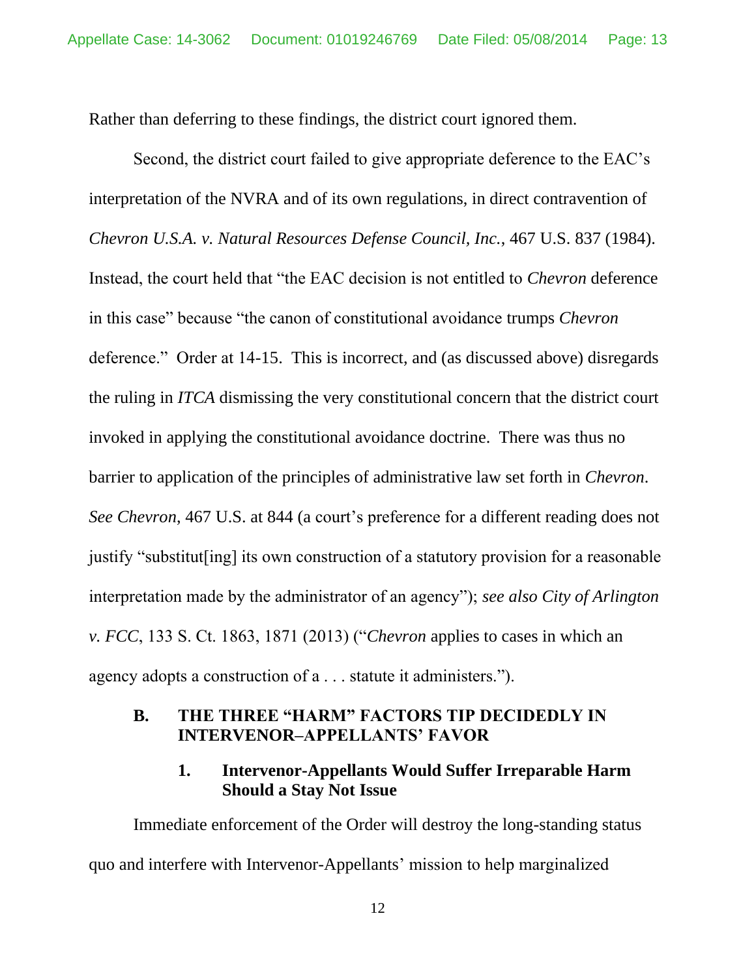Rather than deferring to these findings, the district court ignored them.

Second, the district court failed to give appropriate deference to the EAC's interpretation of the NVRA and of its own regulations, in direct contravention of *Chevron U.S.A. v. Natural Resources Defense Council, Inc.*, 467 U.S. 837 (1984). Instead, the court held that "the EAC decision is not entitled to *Chevron* deference in this case" because "the canon of constitutional avoidance trumps *Chevron*  deference." Order at 14-15. This is incorrect, and (as discussed above) disregards the ruling in *ITCA* dismissing the very constitutional concern that the district court invoked in applying the constitutional avoidance doctrine. There was thus no barrier to application of the principles of administrative law set forth in *Chevron*. *See Chevron*, 467 U.S. at 844 (a court's preference for a different reading does not justify "substitut[ing] its own construction of a statutory provision for a reasonable interpretation made by the administrator of an agency"); *see also City of Arlington v. FCC*, 133 S. Ct. 1863, 1871 (2013) ("*Chevron* applies to cases in which an agency adopts a construction of a . . . statute it administers.").

## **B. THE THREE "HARM" FACTORS TIP DECIDEDLY IN INTERVENOR–APPELLANTS' FAVOR**

## **1. Intervenor-Appellants Would Suffer Irreparable Harm Should a Stay Not Issue**

Immediate enforcement of the Order will destroy the long-standing status quo and interfere with Intervenor-Appellants' mission to help marginalized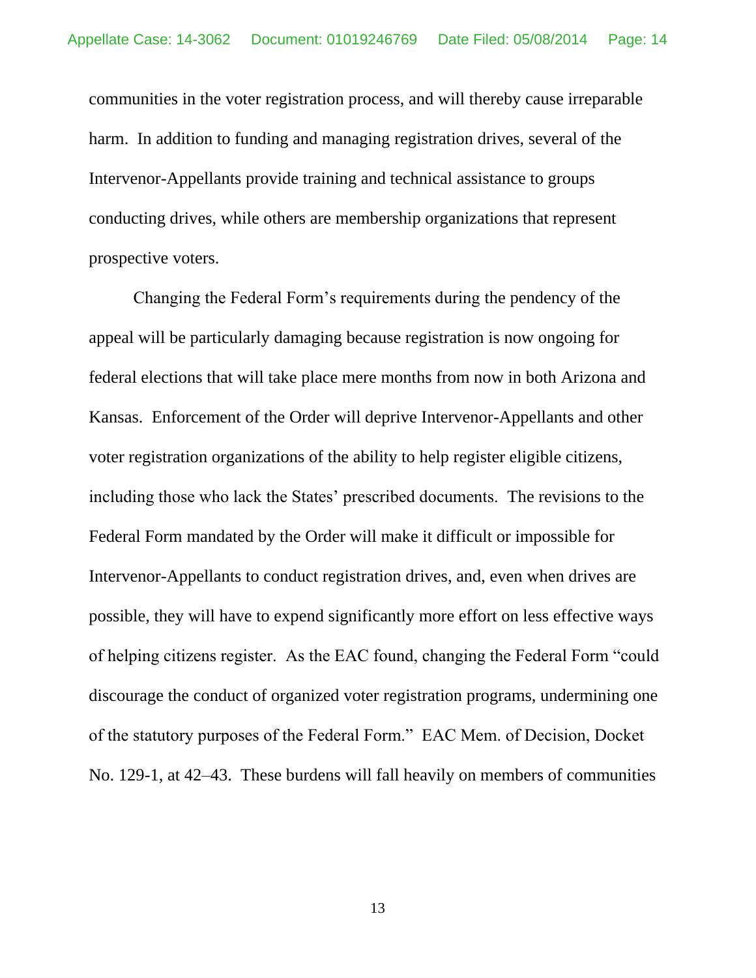communities in the voter registration process, and will thereby cause irreparable harm. In addition to funding and managing registration drives, several of the Intervenor-Appellants provide training and technical assistance to groups conducting drives, while others are membership organizations that represent prospective voters.

Changing the Federal Form's requirements during the pendency of the appeal will be particularly damaging because registration is now ongoing for federal elections that will take place mere months from now in both Arizona and Kansas. Enforcement of the Order will deprive Intervenor-Appellants and other voter registration organizations of the ability to help register eligible citizens, including those who lack the States' prescribed documents. The revisions to the Federal Form mandated by the Order will make it difficult or impossible for Intervenor-Appellants to conduct registration drives, and, even when drives are possible, they will have to expend significantly more effort on less effective ways of helping citizens register. As the EAC found, changing the Federal Form "could discourage the conduct of organized voter registration programs, undermining one of the statutory purposes of the Federal Form." EAC Mem. of Decision, Docket No. 129-1, at 42–43. These burdens will fall heavily on members of communities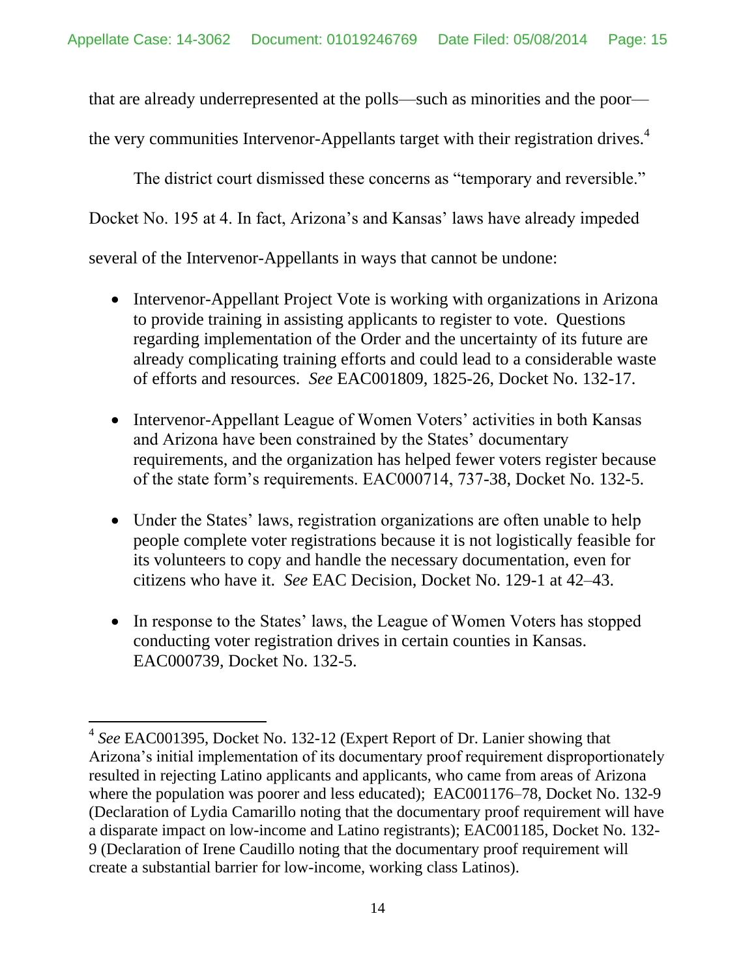that are already underrepresented at the polls—such as minorities and the poor—

the very communities Intervenor-Appellants target with their registration drives.<sup>4</sup>

The district court dismissed these concerns as "temporary and reversible."

Docket No. 195 at 4. In fact, Arizona's and Kansas' laws have already impeded

several of the Intervenor-Appellants in ways that cannot be undone:

- Intervenor-Appellant Project Vote is working with organizations in Arizona to provide training in assisting applicants to register to vote. Questions regarding implementation of the Order and the uncertainty of its future are already complicating training efforts and could lead to a considerable waste of efforts and resources. *See* EAC001809, 1825-26, Docket No. 132-17.
- Intervenor-Appellant League of Women Voters' activities in both Kansas and Arizona have been constrained by the States' documentary requirements, and the organization has helped fewer voters register because of the state form's requirements. EAC000714, 737-38, Docket No. 132-5.
- Under the States' laws, registration organizations are often unable to help people complete voter registrations because it is not logistically feasible for its volunteers to copy and handle the necessary documentation, even for citizens who have it. *See* EAC Decision, Docket No. 129-1 at 42–43.
- In response to the States' laws, the League of Women Voters has stopped conducting voter registration drives in certain counties in Kansas. EAC000739, Docket No. 132-5.

<sup>4</sup> *See* EAC001395, Docket No. 132-12 (Expert Report of Dr. Lanier showing that Arizona's initial implementation of its documentary proof requirement disproportionately resulted in rejecting Latino applicants and applicants, who came from areas of Arizona where the population was poorer and less educated); EAC001176–78, Docket No. 132-9 (Declaration of Lydia Camarillo noting that the documentary proof requirement will have a disparate impact on low-income and Latino registrants); EAC001185, Docket No. 132- 9 (Declaration of Irene Caudillo noting that the documentary proof requirement will create a substantial barrier for low-income, working class Latinos).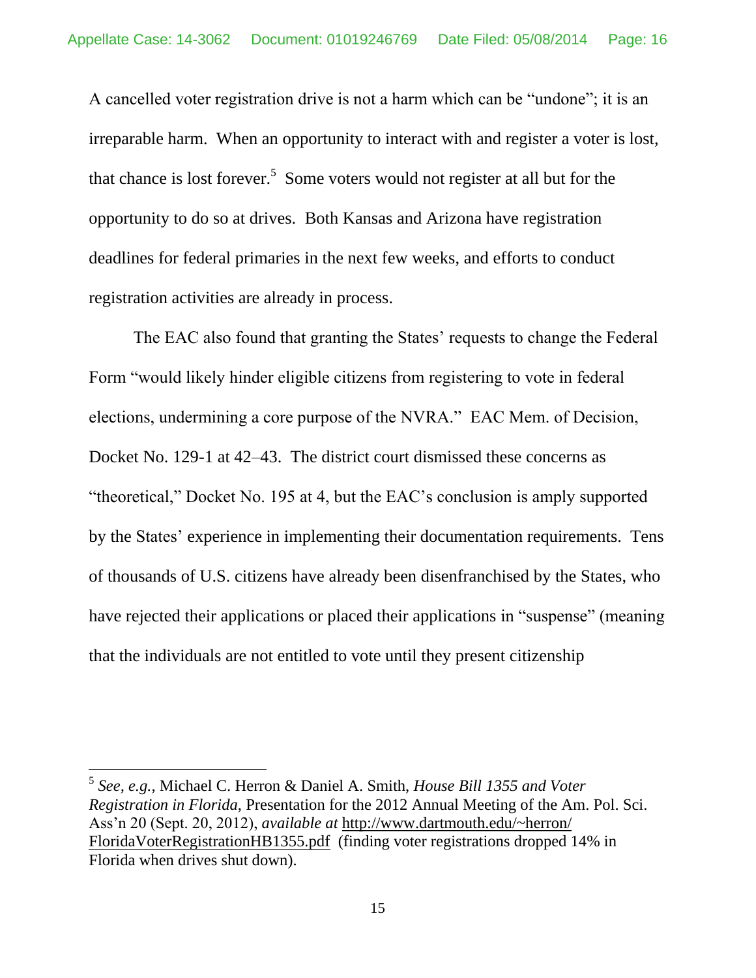A cancelled voter registration drive is not a harm which can be "undone"; it is an irreparable harm. When an opportunity to interact with and register a voter is lost, that chance is lost forever.<sup>5</sup> Some voters would not register at all but for the opportunity to do so at drives. Both Kansas and Arizona have registration deadlines for federal primaries in the next few weeks, and efforts to conduct registration activities are already in process.

The EAC also found that granting the States' requests to change the Federal Form "would likely hinder eligible citizens from registering to vote in federal elections, undermining a core purpose of the NVRA." EAC Mem. of Decision, Docket No. 129-1 at 42–43. The district court dismissed these concerns as "theoretical," Docket No. 195 at 4, but the EAC's conclusion is amply supported by the States' experience in implementing their documentation requirements. Tens of thousands of U.S. citizens have already been disenfranchised by the States, who have rejected their applications or placed their applications in "suspense" (meaning that the individuals are not entitled to vote until they present citizenship

<sup>5</sup> *See, e.g.*, Michael C. Herron & Daniel A. Smith, *House Bill 1355 and Voter Registration in Florida*, Presentation for the 2012 Annual Meeting of the Am. Pol. Sci. Ass'n 20 (Sept. 20, 2012), *available at* [http://www.dartmouth.edu/~herron/](www.dartmouth.edu/~herron/FloridaVoterRegistrationHB1355.pdf)  [FloridaVoterRegistrationHB1355.pdf](www.dartmouth.edu/~herron/FloridaVoterRegistrationHB1355.pdf) (finding voter registrations dropped 14% in Florida when drives shut down).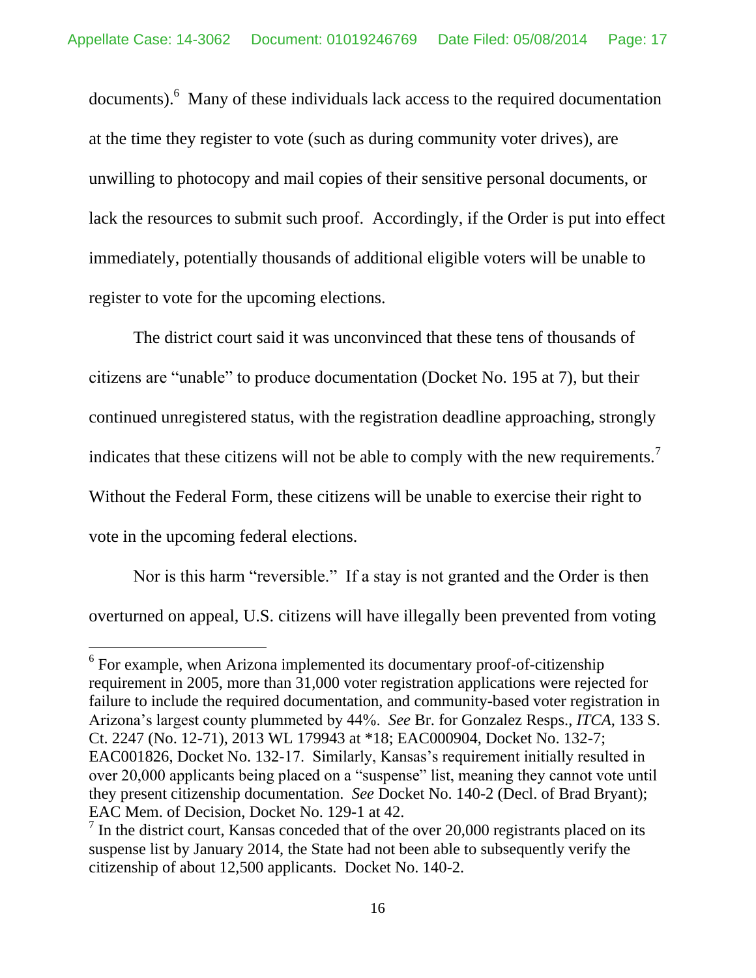documents).<sup>6</sup> Many of these individuals lack access to the required documentation at the time they register to vote (such as during community voter drives), are unwilling to photocopy and mail copies of their sensitive personal documents, or lack the resources to submit such proof. Accordingly, if the Order is put into effect immediately, potentially thousands of additional eligible voters will be unable to register to vote for the upcoming elections.

The district court said it was unconvinced that these tens of thousands of citizens are "unable" to produce documentation (Docket No. 195 at 7), but their continued unregistered status, with the registration deadline approaching, strongly indicates that these citizens will not be able to comply with the new requirements.<sup>7</sup> Without the Federal Form, these citizens will be unable to exercise their right to vote in the upcoming federal elections.

Nor is this harm "reversible." If a stay is not granted and the Order is then overturned on appeal, U.S. citizens will have illegally been prevented from voting

<sup>&</sup>lt;sup>6</sup> For example, when Arizona implemented its documentary proof-of-citizenship requirement in 2005, more than 31,000 voter registration applications were rejected for failure to include the required documentation, and community-based voter registration in Arizona's largest county plummeted by 44%. *See* Br. for Gonzalez Resps., *ITCA*, 133 S. Ct. 2247 (No. 12-71), 2013 WL 179943 at \*18; EAC000904, Docket No. 132-7; EAC001826, Docket No. 132-17. Similarly, Kansas's requirement initially resulted in over 20,000 applicants being placed on a "suspense" list, meaning they cannot vote until they present citizenship documentation. *See* Docket No. 140-2 (Decl. of Brad Bryant); EAC Mem. of Decision, Docket No. 129-1 at 42.

 $<sup>7</sup>$  In the district court, Kansas conceded that of the over 20,000 registrants placed on its</sup> suspense list by January 2014, the State had not been able to subsequently verify the citizenship of about 12,500 applicants. Docket No. 140-2.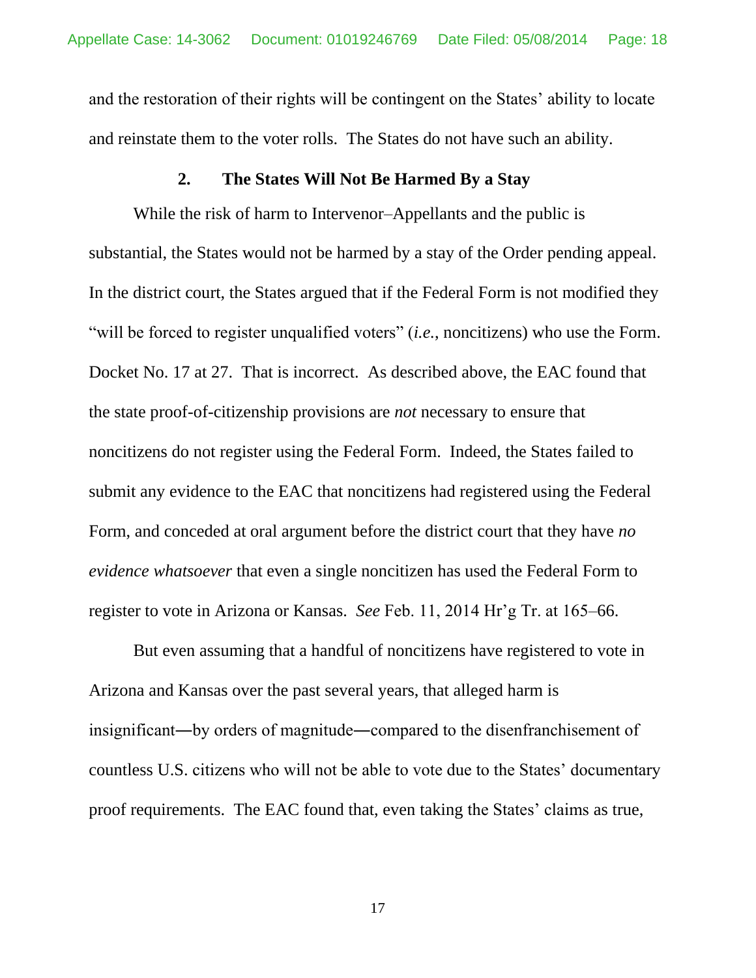and the restoration of their rights will be contingent on the States' ability to locate and reinstate them to the voter rolls. The States do not have such an ability.

### **2. The States Will Not Be Harmed By a Stay**

While the risk of harm to Intervenor–Appellants and the public is substantial, the States would not be harmed by a stay of the Order pending appeal. In the district court, the States argued that if the Federal Form is not modified they "will be forced to register unqualified voters" (*i.e.*, noncitizens) who use the Form. Docket No. 17 at 27. That is incorrect. As described above, the EAC found that the state proof-of-citizenship provisions are *not* necessary to ensure that noncitizens do not register using the Federal Form. Indeed, the States failed to submit any evidence to the EAC that noncitizens had registered using the Federal Form, and conceded at oral argument before the district court that they have *no evidence whatsoever* that even a single noncitizen has used the Federal Form to register to vote in Arizona or Kansas. *See* Feb. 11, 2014 Hr'g Tr. at 165–66.

But even assuming that a handful of noncitizens have registered to vote in Arizona and Kansas over the past several years, that alleged harm is insignificant―by orders of magnitude―compared to the disenfranchisement of countless U.S. citizens who will not be able to vote due to the States' documentary proof requirements. The EAC found that, even taking the States' claims as true,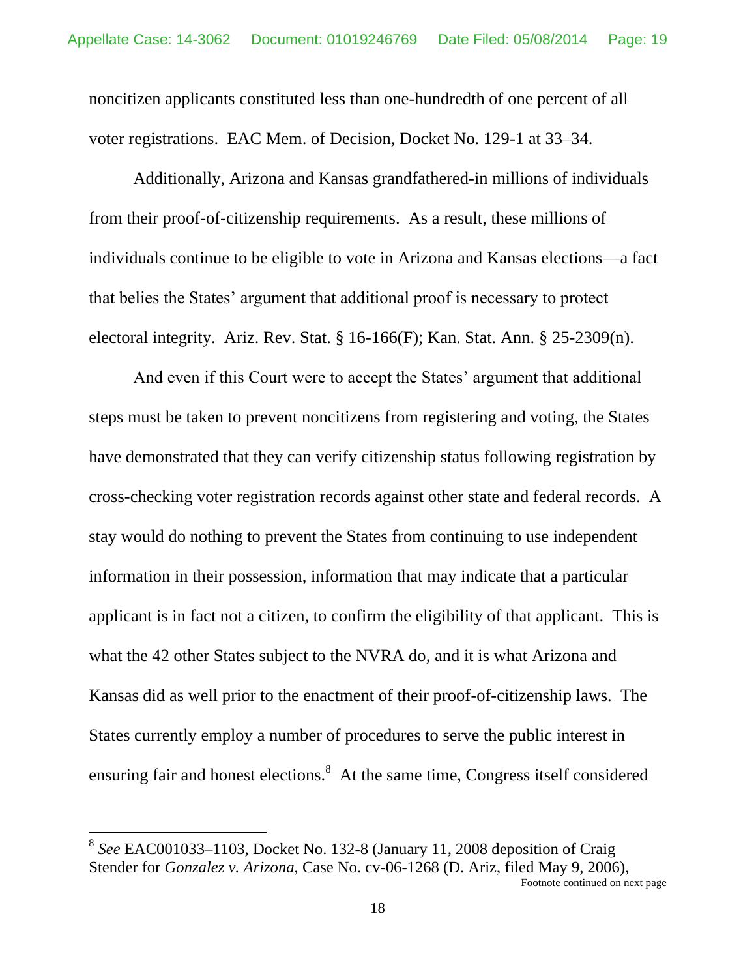noncitizen applicants constituted less than one-hundredth of one percent of all voter registrations. EAC Mem. of Decision, Docket No. 129-1 at 33–34.

Additionally, Arizona and Kansas grandfathered-in millions of individuals from their proof-of-citizenship requirements. As a result, these millions of individuals continue to be eligible to vote in Arizona and Kansas elections—a fact that belies the States' argument that additional proof is necessary to protect electoral integrity. Ariz. Rev. Stat.  $\S 16-166(F)$ ; Kan. Stat. Ann.  $\S 25-2309(n)$ .

And even if this Court were to accept the States' argument that additional steps must be taken to prevent noncitizens from registering and voting, the States have demonstrated that they can verify citizenship status following registration by cross-checking voter registration records against other state and federal records. A stay would do nothing to prevent the States from continuing to use independent information in their possession, information that may indicate that a particular applicant is in fact not a citizen, to confirm the eligibility of that applicant. This is what the 42 other States subject to the NVRA do, and it is what Arizona and Kansas did as well prior to the enactment of their proof-of-citizenship laws. The States currently employ a number of procedures to serve the public interest in ensuring fair and honest elections.<sup>8</sup> At the same time, Congress itself considered

<sup>&</sup>lt;sup>8</sup> See EAC001033–1103, Docket No. 132-8 (January 11, 2008 deposition of Craig Stender for *Gonzalez v. Arizona*, Case No. cv-06-1268 (D. Ariz, filed May 9, 2006), Footnote continued on next page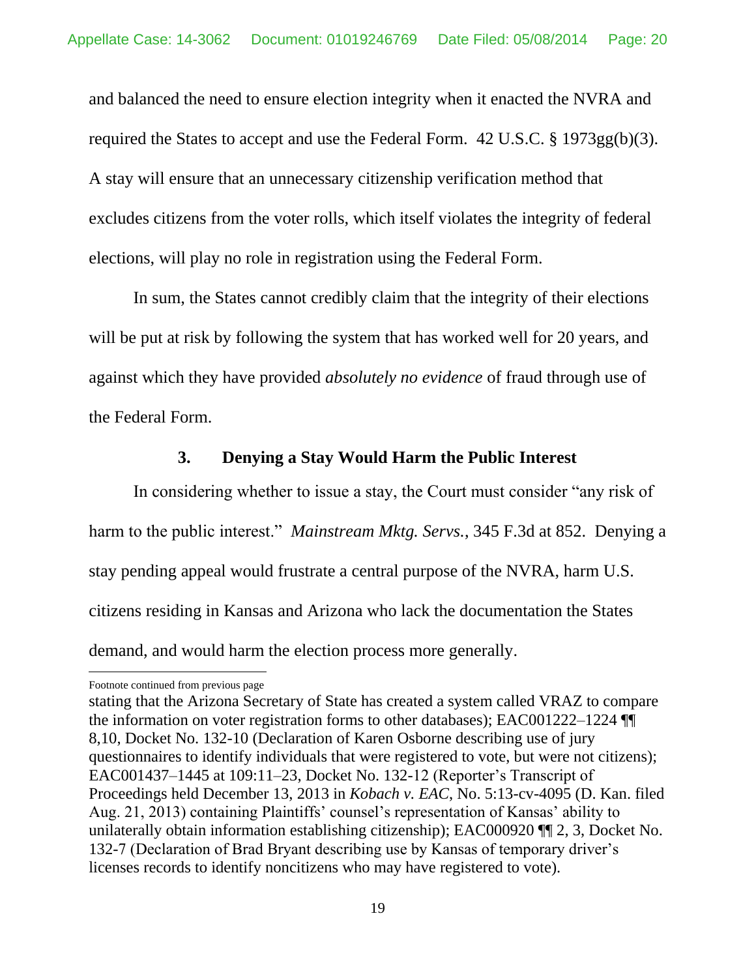and balanced the need to ensure election integrity when it enacted the NVRA and required the States to accept and use the Federal Form. 42 U.S.C. § 1973gg(b)(3). A stay will ensure that an unnecessary citizenship verification method that excludes citizens from the voter rolls, which itself violates the integrity of federal elections, will play no role in registration using the Federal Form.

In sum, the States cannot credibly claim that the integrity of their elections will be put at risk by following the system that has worked well for 20 years, and against which they have provided *absolutely no evidence* of fraud through use of the Federal Form.

## **3. Denying a Stay Would Harm the Public Interest**

In considering whether to issue a stay, the Court must consider "any risk of harm to the public interest." *Mainstream Mktg. Servs.*, 345 F.3d at 852. Denying a stay pending appeal would frustrate a central purpose of the NVRA, harm U.S. citizens residing in Kansas and Arizona who lack the documentation the States demand, and would harm the election process more generally.

Footnote continued from previous page

stating that the Arizona Secretary of State has created a system called VRAZ to compare the information on voter registration forms to other databases); EAC001222–1224 ¶¶ 8,10, Docket No. 132-10 (Declaration of Karen Osborne describing use of jury questionnaires to identify individuals that were registered to vote, but were not citizens); EAC001437–1445 at 109:11–23, Docket No. 132-12 (Reporter's Transcript of Proceedings held December 13, 2013 in *Kobach v. EAC*, No. 5:13-cv-4095 (D. Kan. filed Aug. 21, 2013) containing Plaintiffs' counsel's representation of Kansas' ability to unilaterally obtain information establishing citizenship); EAC000920 ¶¶ 2, 3, Docket No. 132-7 (Declaration of Brad Bryant describing use by Kansas of temporary driver's licenses records to identify noncitizens who may have registered to vote).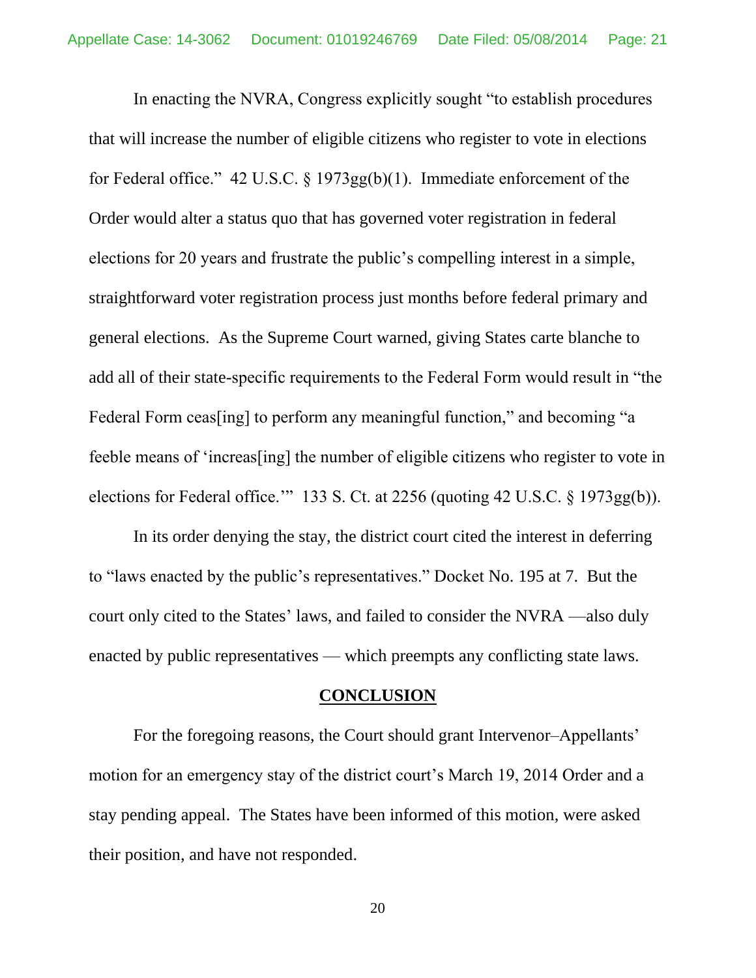In enacting the NVRA, Congress explicitly sought "to establish procedures that will increase the number of eligible citizens who register to vote in elections for Federal office." 42 U.S.C. § 1973gg(b)(1). Immediate enforcement of the Order would alter a status quo that has governed voter registration in federal elections for 20 years and frustrate the public's compelling interest in a simple, straightforward voter registration process just months before federal primary and general elections. As the Supreme Court warned, giving States carte blanche to add all of their state-specific requirements to the Federal Form would result in "the Federal Form ceas[ing] to perform any meaningful function," and becoming "a feeble means of 'increas[ing] the number of eligible citizens who register to vote in elections for Federal office.'" 133 S. Ct. at 2256 (quoting 42 U.S.C. § 1973gg(b)).

In its order denying the stay, the district court cited the interest in deferring to "laws enacted by the public's representatives." Docket No. 195 at 7. But the court only cited to the States' laws, and failed to consider the NVRA —also duly enacted by public representatives — which preempts any conflicting state laws.

#### **CONCLUSION**

For the foregoing reasons, the Court should grant Intervenor–Appellants' motion for an emergency stay of the district court's March 19, 2014 Order and a stay pending appeal. The States have been informed of this motion, were asked their position, and have not responded.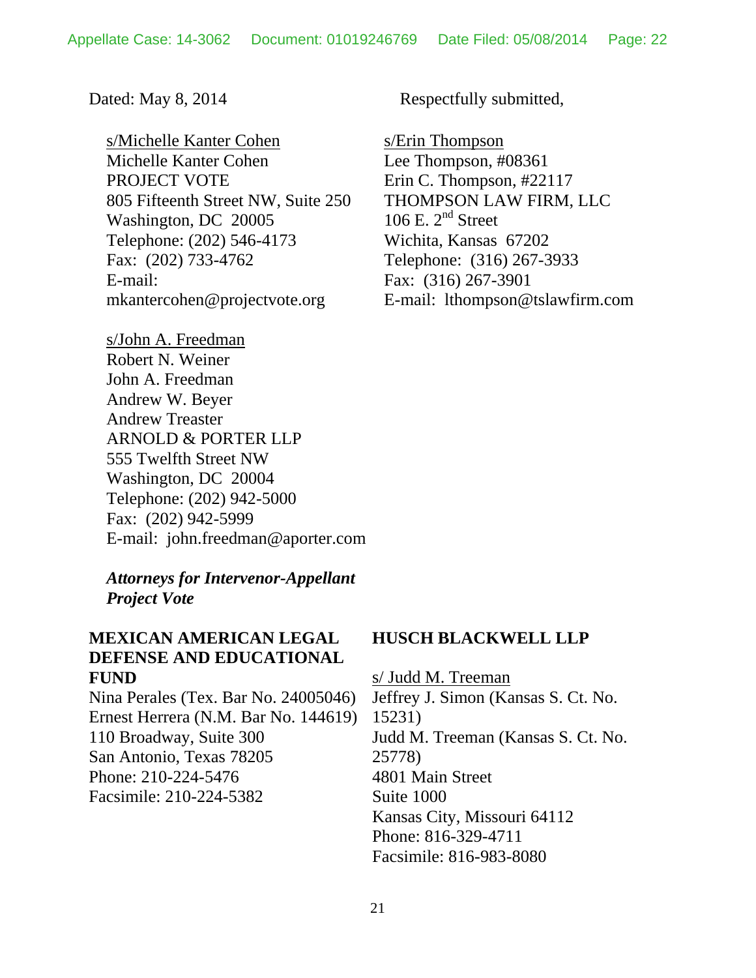s/Michelle Kanter Cohen Michelle Kanter Cohen PROJECT VOTE 805 Fifteenth Street NW, Suite 250 Washington, DC 20005 Telephone: (202) 546-4173 Fax: (202) 733-4762 E-mail: mkantercohen@projectvote.org

s/John A. Freedman Robert N. Weiner John A. Freedman Andrew W. Beyer Andrew Treaster ARNOLD & PORTER LLP 555 Twelfth Street NW Washington, DC 20004 Telephone: (202) 942-5000 Fax: (202) 942-5999 E-mail: john.freedman@aporter.com

*Attorneys for Intervenor-Appellant Project Vote*

# **MEXICAN AMERICAN LEGAL DEFENSE AND EDUCATIONAL FUND**

Nina Perales (Tex. Bar No. 24005046) Ernest Herrera (N.M. Bar No. 144619) 110 Broadway, Suite 300 San Antonio, Texas 78205 Phone: 210-224-5476 Facsimile: 210-224-5382

Dated: May 8, 2014 Respectfully submitted,

s/Erin Thompson Lee Thompson, #08361 Erin C. Thompson, #22117 THOMPSON LAW FIRM, LLC 106 E.  $2<sup>nd</sup>$  Street Wichita, Kansas 67202 Telephone: (316) 267-3933 Fax: (316) 267-3901 E-mail: lthompson@tslawfirm.com

#### **HUSCH BLACKWELL LLP**

s/ Judd M. Treeman Jeffrey J. Simon (Kansas S. Ct. No. 15231) Judd M. Treeman (Kansas S. Ct. No. 25778) 4801 Main Street Suite 1000 Kansas City, Missouri 64112 Phone: 816-329-4711 Facsimile: 816-983-8080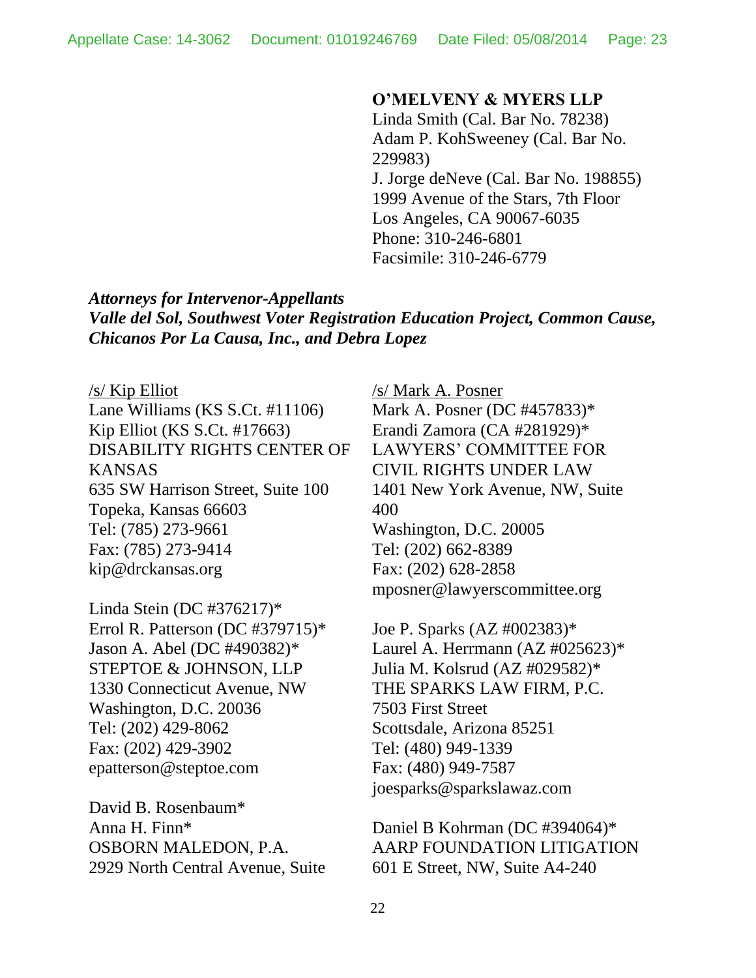### **O'MELVENY & MYERS LLP**

Linda Smith (Cal. Bar No. 78238) Adam P. KohSweeney (Cal. Bar No. 229983) J. Jorge deNeve (Cal. Bar No. 198855) 1999 Avenue of the Stars, 7th Floor Los Angeles, CA 90067-6035 Phone: 310-246-6801 Facsimile: 310-246-6779

*Attorneys for Intervenor-Appellants Valle del Sol, Southwest Voter Registration Education Project, Common Cause, Chicanos Por La Causa, Inc., and Debra Lopez*

#### /s/ Kip Elliot

Lane Williams (KS S.Ct. #11106) Kip Elliot (KS S.Ct. #17663) DISABILITY RIGHTS CENTER OF KANSAS 635 SW Harrison Street, Suite 100 Topeka, Kansas 66603 Tel: (785) 273-9661 Fax: (785) 273-9414 kip@drckansas.org

Linda Stein (DC #376217)\* Errol R. Patterson (DC #379715)\* Jason A. Abel (DC #490382)\* STEPTOE & JOHNSON, LLP 1330 Connecticut Avenue, NW Washington, D.C. 20036 Tel: (202) 429-8062 Fax: (202) 429-3902 epatterson@steptoe.com

David B. Rosenbaum\* Anna H. Finn\* OSBORN MALEDON, P.A. 2929 North Central Avenue, Suite

/s/ Mark A. Posner Mark A. Posner (DC #457833)\* Erandi Zamora (CA #281929)\* LAWYERS' COMMITTEE FOR CIVIL RIGHTS UNDER LAW 1401 New York Avenue, NW, Suite 400 Washington, D.C. 20005 Tel: (202) 662-8389 Fax: (202) 628-2858 mposner@lawyerscommittee.org

Joe P. Sparks (AZ #002383)\* Laurel A. Herrmann  $(AZ \#025623)^*$ Julia M. Kolsrud (AZ #029582)\* THE SPARKS LAW FIRM, P.C. 7503 First Street Scottsdale, Arizona 85251 Tel: (480) 949-1339 Fax: (480) 949-7587 joesparks@sparkslawaz.com

Daniel B Kohrman (DC #394064)\* AARP FOUNDATION LITIGATION 601 E Street, NW, Suite A4-240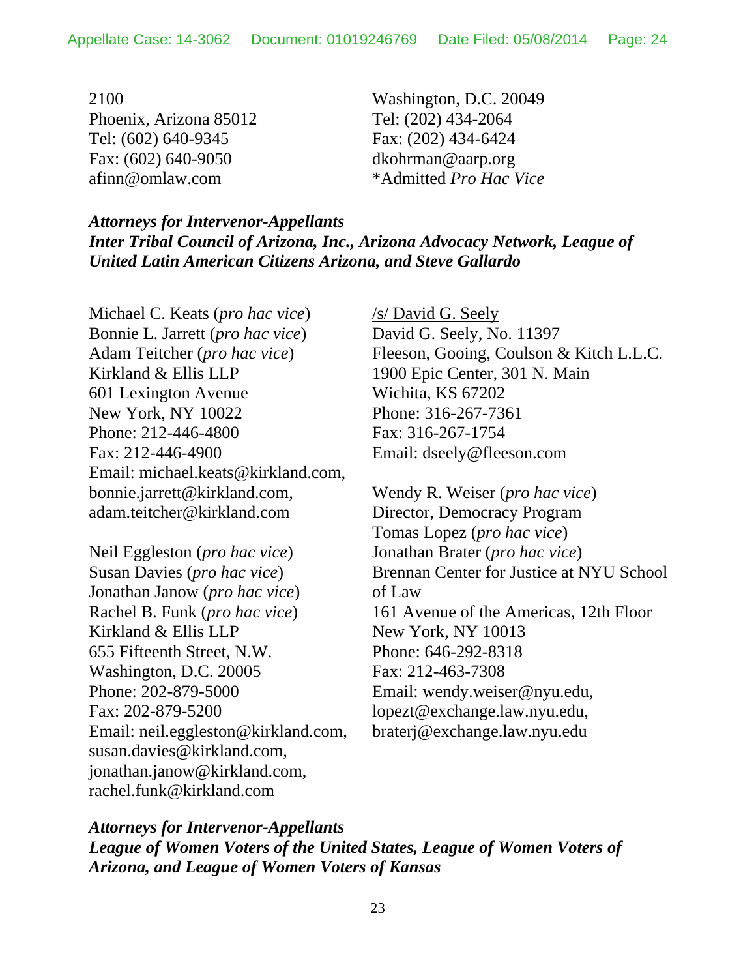2100 Phoenix, Arizona 85012 Tel: (602) 640-9345 Fax: (602) 640-9050 afinn@omlaw.com

Washington, D.C. 20049 Tel: (202) 434-2064 Fax: (202) 434-6424 dkohrman@aarp.org \*Admitted *Pro Hac Vice*

*Attorneys for Intervenor-Appellants Inter Tribal Council of Arizona, Inc., Arizona Advocacy Network, League of United Latin American Citizens Arizona, and Steve Gallardo*

Michael C. Keats (*pro hac vice*) Bonnie L. Jarrett (*pro hac vice*) Adam Teitcher (*pro hac vice*) Kirkland & Ellis LLP 601 Lexington Avenue New York, NY 10022 Phone: 212-446-4800 Fax: 212-446-4900 Email: michael.keats@kirkland.com, bonnie.jarrett@kirkland.com, adam.teitcher@kirkland.com

Neil Eggleston (*pro hac vice*) Susan Davies (*pro hac vice*) Jonathan Janow (*pro hac vice*) Rachel B. Funk (*pro hac vice*) Kirkland & Ellis LLP 655 Fifteenth Street, N.W. Washington, D.C. 20005 Phone: 202-879-5000 Fax: 202-879-5200 Email: neil.eggleston@kirkland.com, susan.davies@kirkland.com, jonathan.janow@kirkland.com, rachel.funk@kirkland.com

/s/ David G. Seely David G. Seely, No. 11397 Fleeson, Gooing, Coulson & Kitch L.L.C. 1900 Epic Center, 301 N. Main Wichita, KS 67202 Phone: 316-267-7361 Fax: 316-267-1754 Email: dseely@fleeson.com

Wendy R. Weiser (*pro hac vice*) Director, Democracy Program Tomas Lopez (*pro hac vice*) Jonathan Brater (*pro hac vice*) Brennan Center for Justice at NYU School of Law 161 Avenue of the Americas, 12th Floor New York, NY 10013 Phone: 646-292-8318 Fax: 212-463-7308 Email: wendy.weiser@nyu.edu, lopezt@exchange.law.nyu.edu, braterj@exchange.law.nyu.edu

*Attorneys for Intervenor-Appellants League of Women Voters of the United States, League of Women Voters of Arizona, and League of Women Voters of Kansas*